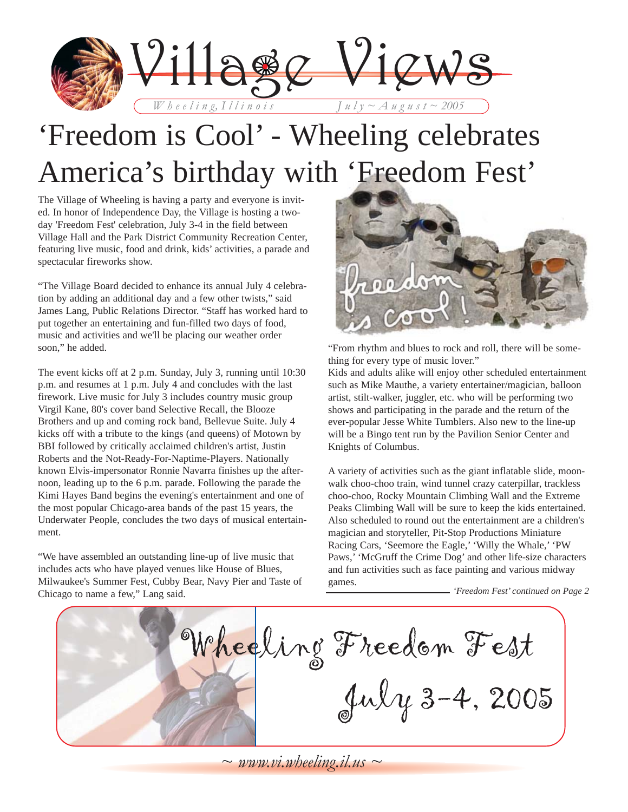

# 'Freedom is Cool' - Wheeling celebrates America's birthday with 'Freedom Fest'

The Village of Wheeling is having a party and everyone is invited. In honor of Independence Day, the Village is hosting a twoday 'Freedom Fest' celebration, July 3-4 in the field between Village Hall and the Park District Community Recreation Center, featuring live music, food and drink, kids' activities, a parade and spectacular fireworks show.

"The Village Board decided to enhance its annual July 4 celebration by adding an additional day and a few other twists," said James Lang, Public Relations Director. "Staff has worked hard to put together an entertaining and fun-filled two days of food, music and activities and we'll be placing our weather order soon," he added.

The event kicks off at 2 p.m. Sunday, July 3, running until 10:30 p.m. and resumes at 1 p.m. July 4 and concludes with the last firework. Live music for July 3 includes country music group Virgil Kane, 80's cover band Selective Recall, the Blooze Brothers and up and coming rock band, Bellevue Suite. July 4 kicks off with a tribute to the kings (and queens) of Motown by BBI followed by critically acclaimed children's artist, Justin Roberts and the Not-Ready-For-Naptime-Players. Nationally known Elvis-impersonator Ronnie Navarra finishes up the afternoon, leading up to the 6 p.m. parade. Following the parade the Kimi Hayes Band begins the evening's entertainment and one of the most popular Chicago-area bands of the past 15 years, the Underwater People, concludes the two days of musical entertainment.

"We have assembled an outstanding line-up of live music that includes acts who have played venues like House of Blues, Milwaukee's Summer Fest, Cubby Bear, Navy Pier and Taste of Chicago to name a few," Lang said.



"From rhythm and blues to rock and roll, there will be something for every type of music lover."

Kids and adults alike will enjoy other scheduled entertainment such as Mike Mauthe, a variety entertainer/magician, balloon artist, stilt-walker, juggler, etc. who will be performing two shows and participating in the parade and the return of the ever-popular Jesse White Tumblers. Also new to the line-up will be a Bingo tent run by the Pavilion Senior Center and Knights of Columbus.

A variety of activities such as the giant inflatable slide, moonwalk choo-choo train, wind tunnel crazy caterpillar, trackless choo-choo, Rocky Mountain Climbing Wall and the Extreme Peaks Climbing Wall will be sure to keep the kids entertained. Also scheduled to round out the entertainment are a children's magician and storyteller, Pit-Stop Productions Miniature Racing Cars, 'Seemore the Eagle,' 'Willy the Whale,' 'PW Paws,' 'McGruff the Crime Dog' and other life-size characters and fun activities such as face painting and various midway games. *'Freedom Fest' continued on Page 2*

Wheeling Freedom Fest July 3-4, 2005

 $\sim$  *www.vi.wheeling.il.us*  $\sim$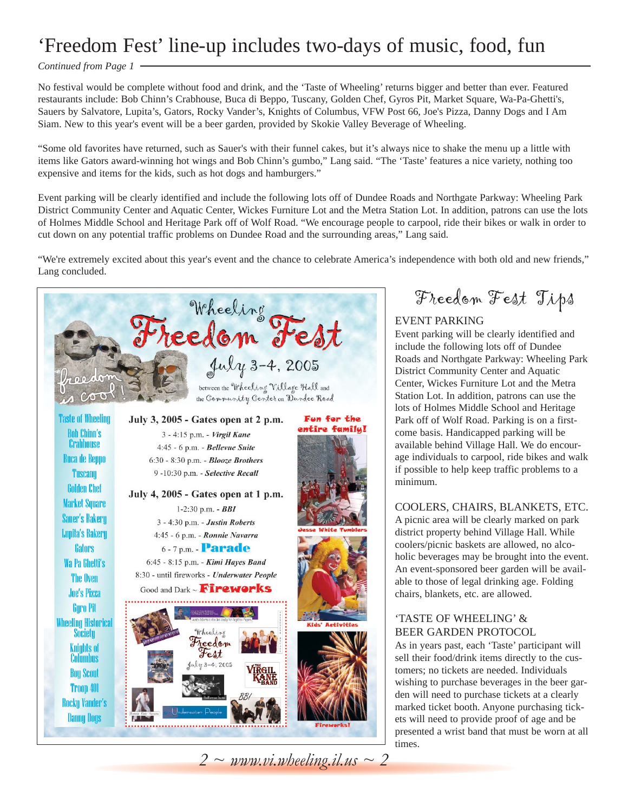### 'Freedom Fest' line-up includes two-days of music, food, fun

#### *Continued from Page 1*

No festival would be complete without food and drink, and the 'Taste of Wheeling' returns bigger and better than ever. Featured restaurants include: Bob Chinn's Crabhouse, Buca di Beppo, Tuscany, Golden Chef, Gyros Pit, Market Square, Wa-Pa-Ghetti's, Sauers by Salvatore, Lupita's, Gators, Rocky Vander's, Knights of Columbus, VFW Post 66, Joe's Pizza, Danny Dogs and I Am Siam. New to this year's event will be a beer garden, provided by Skokie Valley Beverage of Wheeling.

"Some old favorites have returned, such as Sauer's with their funnel cakes, but it's always nice to shake the menu up a little with items like Gators award-winning hot wings and Bob Chinn's gumbo," Lang said. "The 'Taste' features a nice variety, nothing too expensive and items for the kids, such as hot dogs and hamburgers."

Event parking will be clearly identified and include the following lots off of Dundee Roads and Northgate Parkway: Wheeling Park District Community Center and Aquatic Center, Wickes Furniture Lot and the Metra Station Lot. In addition, patrons can use the lots of Holmes Middle School and Heritage Park off of Wolf Road. "We encourage people to carpool, ride their bikes or walk in order to cut down on any potential traffic problems on Dundee Road and the surrounding areas," Lang said.

"We're extremely excited about this year's event and the chance to celebrate America's independence with both old and new friends," Lang concluded.

Wheeling<br>Freedom Fest between the Wheeling Village Hall and  $\infty$ the Community Center on Dundee Road **Taste of Wheeling** July 3, 2005 - Gates open at 2 p.m. Fun for the entire family! **Bob Chinn's** 3 - 4:15 p.m. - Virgil Kane Crabhouse 4:45 - 6 p.m. - Bellevue Suite **Buca de Beppo** 6:30 - 8:30 p.m. - Blooze Brothers **Tuscanu** 9-10:30 p.m. - Selective Recall **Golden Chef** July 4, 2005 - Gates open at 1 p.m. **Market Square** 1-2:30 p.m. -  $BBI$ **Sauer's Bakery** 3 - 4:30 p.m. - Justin Roberts **Lupita's Bakery** 4:45 - 6 p.m. - Ronnie Navarra 6-7 p.m. - **Parade Gators** 6:45 - 8:15 p.m. - Kimi Hayes Band Wa Pa Ghetti's 8:30 - until fireworks - Underwater People The Oven Good and Dark ~ Fireworks **Joe's Pizza Gyro Pit Wheeling Historical<br>Society** Wheeling Freedom **Knights of** Fest Columbus 4.2005 **Boy Scout** Troop 401 **Rocky Vander's Danny Dogs** 

Freedom Fest Tips

### EVENT PARKING

Event parking will be clearly identified and include the following lots off of Dundee Roads and Northgate Parkway: Wheeling Park District Community Center and Aquatic Center, Wickes Furniture Lot and the Metra Station Lot. In addition, patrons can use the lots of Holmes Middle School and Heritage Park off of Wolf Road. Parking is on a firstcome basis. Handicapped parking will be available behind Village Hall. We do encourage individuals to carpool, ride bikes and walk if possible to help keep traffic problems to a minimum.

#### COOLERS, CHAIRS, BLANKETS, ETC.

A picnic area will be clearly marked on park district property behind Village Hall. While coolers/picnic baskets are allowed, no alcoholic beverages may be brought into the event. An event-sponsored beer garden will be available to those of legal drinking age. Folding chairs, blankets, etc. are allowed.

### 'TASTE OF WHEELING' & BEER GARDEN PROTOCOL

As in years past, each 'Taste' participant will sell their food/drink items directly to the customers; no tickets are needed. Individuals wishing to purchase beverages in the beer garden will need to purchase tickets at a clearly marked ticket booth. Anyone purchasing tickets will need to provide proof of age and be presented a wrist band that must be worn at all times.

*2 ~ www.vi.wheeling.il.us ~ 2*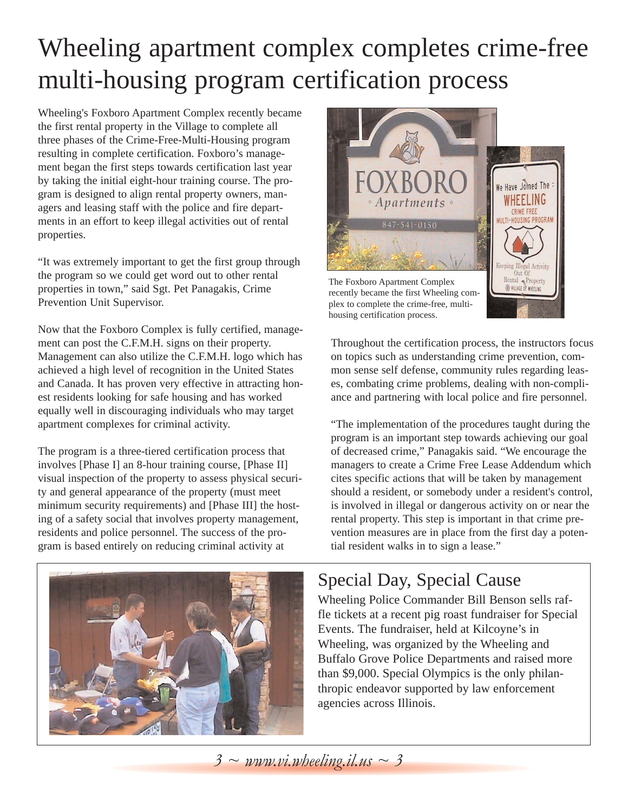# Wheeling apartment complex completes crime-free multi-housing program certification process

Wheeling's Foxboro Apartment Complex recently became the first rental property in the Village to complete all three phases of the Crime-Free-Multi-Housing program resulting in complete certification. Foxboro's management began the first steps towards certification last year by taking the initial eight-hour training course. The program is designed to align rental property owners, managers and leasing staff with the police and fire departments in an effort to keep illegal activities out of rental properties.

"It was extremely important to get the first group through the program so we could get word out to other rental properties in town," said Sgt. Pet Panagakis, Crime Prevention Unit Supervisor.

Now that the Foxboro Complex is fully certified, management can post the C.F.M.H. signs on their property. Management can also utilize the C.F.M.H. logo which has achieved a high level of recognition in the United States and Canada. It has proven very effective in attracting honest residents looking for safe housing and has worked equally well in discouraging individuals who may target apartment complexes for criminal activity.

The program is a three-tiered certification process that involves [Phase I] an 8-hour training course, [Phase II] visual inspection of the property to assess physical security and general appearance of the property (must meet minimum security requirements) and [Phase III] the hosting of a safety social that involves property management, residents and police personnel. The success of the program is based entirely on reducing criminal activity at



plex to complete the crime-free, multihousing certification process.

Throughout the certification process, the instructors focus on topics such as understanding crime prevention, common sense self defense, community rules regarding leases, combating crime problems, dealing with non-compliance and partnering with local police and fire personnel.

"The implementation of the procedures taught during the program is an important step towards achieving our goal of decreased crime," Panagakis said. "We encourage the managers to create a Crime Free Lease Addendum which cites specific actions that will be taken by management should a resident, or somebody under a resident's control, is involved in illegal or dangerous activity on or near the rental property. This step is important in that crime prevention measures are in place from the first day a potential resident walks in to sign a lease."



### Special Day, Special Cause

Wheeling Police Commander Bill Benson sells raffle tickets at a recent pig roast fundraiser for Special Events. The fundraiser, held at Kilcoyne's in Wheeling, was organized by the Wheeling and Buffalo Grove Police Departments and raised more than \$9,000. Special Olympics is the only philanthropic endeavor supported by law enforcement agencies across Illinois.

*3 ~ www.vi.wheeling.il.us ~ 3*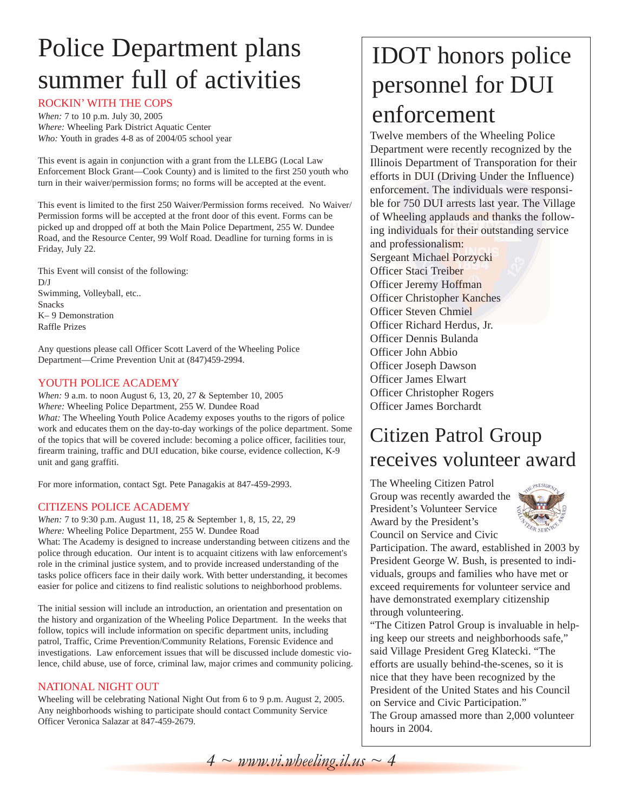# Police Department plans summer full of activities

#### ROCKIN' WITH THE COPS

*When:* 7 to 10 p.m. July 30, 2005 *Where:* Wheeling Park District Aquatic Center *Who:* Youth in grades 4-8 as of 2004/05 school year

This event is again in conjunction with a grant from the LLEBG (Local Law Enforcement Block Grant—Cook County) and is limited to the first 250 youth who turn in their waiver/permission forms; no forms will be accepted at the event.

This event is limited to the first 250 Waiver/Permission forms received. No Waiver/ Permission forms will be accepted at the front door of this event. Forms can be picked up and dropped off at both the Main Police Department, 255 W. Dundee Road, and the Resource Center, 99 Wolf Road. Deadline for turning forms in is Friday, July 22.

This Event will consist of the following:  $D/I$ Swimming, Volleyball, etc.. Snacks K– 9 Demonstration Raffle Prizes

Any questions please call Officer Scott Laverd of the Wheeling Police Department—Crime Prevention Unit at (847)459-2994.

### YOUTH POLICE ACADEMY

*When:* 9 a.m. to noon August 6, 13, 20, 27 & September 10, 2005 *Where:* Wheeling Police Department, 255 W. Dundee Road *What:* The Wheeling Youth Police Academy exposes youths to the rigors of police work and educates them on the day-to-day workings of the police department. Some of the topics that will be covered include: becoming a police officer, facilities tour, firearm training, traffic and DUI education, bike course, evidence collection, K-9 unit and gang graffiti.

For more information, contact Sgt. Pete Panagakis at 847-459-2993.

#### CITIZENS POLICE ACADEMY

*When:* 7 to 9:30 p.m. August 11, 18, 25 & September 1, 8, 15, 22, 29 *Where:* Wheeling Police Department, 255 W. Dundee Road

What: The Academy is designed to increase understanding between citizens and the police through education. Our intent is to acquaint citizens with law enforcement's role in the criminal justice system, and to provide increased understanding of the tasks police officers face in their daily work. With better understanding, it becomes easier for police and citizens to find realistic solutions to neighborhood problems.

The initial session will include an introduction, an orientation and presentation on the history and organization of the Wheeling Police Department. In the weeks that follow, topics will include information on specific department units, including patrol, Traffic, Crime Prevention/Community Relations, Forensic Evidence and investigations. Law enforcement issues that will be discussed include domestic violence, child abuse, use of force, criminal law, major crimes and community policing.

#### NATIONAL NIGHT OUT

Wheeling will be celebrating National Night Out from 6 to 9 p.m. August 2, 2005. Any neighborhoods wishing to participate should contact Community Service Officer Veronica Salazar at 847-459-2679.

## IDOT honors police personnel for DUI enforcement

Twelve members of the Wheeling Police Department were recently recognized by the Illinois Department of Transporation for their efforts in DUI (Driving Under the Influence) enforcement. The individuals were responsible for 750 DUI arrests last year. The Village of Wheeling applauds and thanks the following individuals for their outstanding service and professionalism: Sergeant Michael Porzycki Officer Staci Treiber Officer Jeremy Hoffman Officer Christopher Kanches Officer Steven Chmiel Officer Richard Herdus, Jr. Officer Dennis Bulanda Officer John Abbio Officer Joseph Dawson Officer James Elwart Officer Christopher Rogers Officer James Borchardt

### Citizen Patrol Group receives volunteer award

The Wheeling Citizen Patrol Group was recently awarded the President's Volunteer Service Award by the President's Council on Service and Civic



Participation. The award, established in 2003 by President George W. Bush, is presented to individuals, groups and families who have met or exceed requirements for volunteer service and have demonstrated exemplary citizenship through volunteering.

"The Citizen Patrol Group is invaluable in helping keep our streets and neighborhoods safe," said Village President Greg Klatecki. "The efforts are usually behind-the-scenes, so it is nice that they have been recognized by the President of the United States and his Council on Service and Civic Participation." The Group amassed more than 2,000 volunteer hours in 2004.

*4 ~ www.vi.wheeling.il.us ~ 4*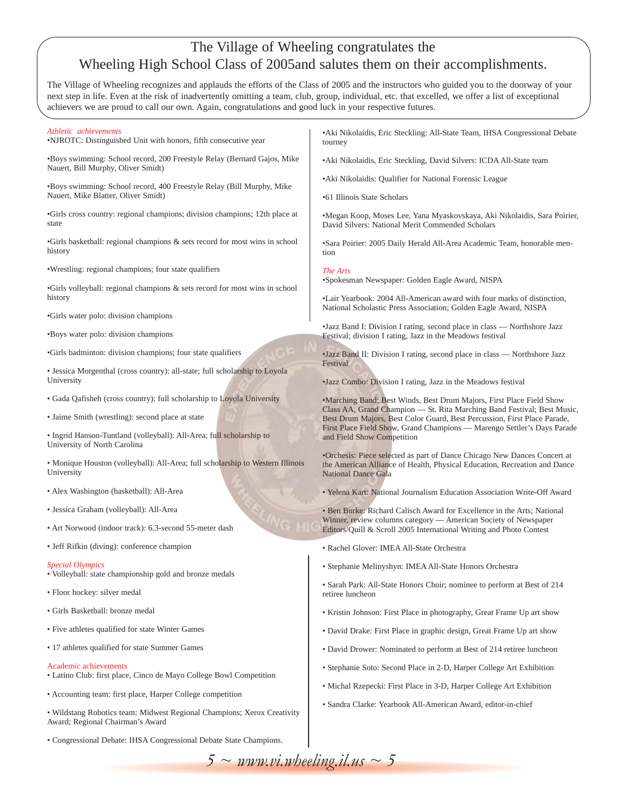### The Village of Wheeling congratulates the Wheeling High School Class of 2005and salutes them on their accomplishments.

The Village of Wheeling recognizes and applauds the efforts of the Class of 2005 and the instructors who guided you to the doorway of your next step in life. Even at the risk of inadvertently omitting a team, club, group, individual, etc. that excelled, we offer a list of exceptional achievers we are proud to call our own. Again, congratulations and good luck in your respective futures.

| Athletic achievements<br>.NJROTC: Distinguished Unit with honors, fifth consecutive year                      | • Aki Nikolaidis, Eric Steckling: All-State Team, IHSA Congressional Debate<br>tourney                                                                                                                                                                                                                                               |
|---------------------------------------------------------------------------------------------------------------|--------------------------------------------------------------------------------------------------------------------------------------------------------------------------------------------------------------------------------------------------------------------------------------------------------------------------------------|
| ·Boys swimming: School record, 200 Freestyle Relay (Bernard Gajos, Mike<br>Nauert, Bill Murphy, Oliver Smidt) | • Aki Nikolaidis, Eric Steckling, David Silvers: ICDA All-State team                                                                                                                                                                                                                                                                 |
| •Boys swimming: School record, 400 Freestyle Relay (Bill Murphy, Mike                                         | • Aki Nikolaidis: Qualifier for National Forensic League                                                                                                                                                                                                                                                                             |
| Nauert, Mike Blatter, Oliver Smidt)                                                                           | •61 Illinois State Scholars                                                                                                                                                                                                                                                                                                          |
| •Girls cross country: regional champions; division champions; 12th place at<br>state                          | •Megan Koop, Moses Lee, Yana Myaskovskaya, Aki Nikolaidis, Sara Poirier,<br>David Silvers: National Merit Commended Scholars                                                                                                                                                                                                         |
| •Girls basketball: regional champions & sets record for most wins in school<br>history                        | •Sara Poirier: 2005 Daily Herald All-Area Academic Team, honorable men-<br>tion                                                                                                                                                                                                                                                      |
| . Wrestling: regional champions; four state qualifiers                                                        | The Arts<br>•Spokesman Newspaper: Golden Eagle Award, NISPA                                                                                                                                                                                                                                                                          |
| •Girls volleyball: regional champions $\&$ sets record for most wins in school<br>history                     | •Lair Yearbook: 2004 All-American award with four marks of distinction,                                                                                                                                                                                                                                                              |
| •Girls water polo: division champions                                                                         | National Scholastic Press Association; Golden Eagle Award, NISPA                                                                                                                                                                                                                                                                     |
| •Boys water polo: division champions                                                                          | •Jazz Band I: Division I rating, second place in class — Northshore Jazz<br>Festival; division I rating, Jazz in the Meadows festival                                                                                                                                                                                                |
| •Girls badminton: division champions; four state qualifiers                                                   | •Jazz Band II: Division I rating, second place in class — Northshore Jazz<br>Festival                                                                                                                                                                                                                                                |
| · Jessica Morgenthal (cross country): all-state; full scholarship to Loyola<br>University                     | •Jazz Combo: Division I rating, Jazz in the Meadows festival                                                                                                                                                                                                                                                                         |
| • Gada Qafisheh (cross country): full scholarship to Loyola University                                        | •Marching Band: Best Winds, Best Drum Majors, First Place Field Show<br>Class AA, Grand Champion - St. Rita Marching Band Festival; Best Music,<br>Best Drum Majors, Best Color Guard, Best Percussion, First Place Parade,<br>First Place Field Show, Grand Champions - Marengo Settler's Days Parade<br>and Field Show Competition |
| • Jaime Smith (wrestling): second place at state                                                              |                                                                                                                                                                                                                                                                                                                                      |
| · Ingrid Hanson-Tuntland (volleyball): All-Area; full scholarship to<br>University of North Carolina          |                                                                                                                                                                                                                                                                                                                                      |
| • Monique Houston (volleyball): All-Area; full scholarship to Western Illinois<br>University                  | •Orchesis: Piece selected as part of Dance Chicago New Dances Concert at<br>the American Alliance of Health, Physical Education, Recreation and Dance<br><b>National Dance Gala</b>                                                                                                                                                  |
| • Alex Washington (basketball): All-Area                                                                      | • Yelena Kart: National Journalism Education Association Write-Off Award                                                                                                                                                                                                                                                             |
| · Jessica Graham (volleyball): All-Area<br>• Art Norwood (indoor track): 6.3-second 55-meter dash             | • Ben Burke: Richard Calisch Award for Excellence in the Arts; National<br>Winner, review columns category — American Society of Newspaper                                                                                                                                                                                           |
|                                                                                                               | Editors/Quill & Scroll 2005 International Writing and Photo Contest                                                                                                                                                                                                                                                                  |
| • Jeff Rifkin (diving): conference champion                                                                   | • Rachel Glover: IMEA All-State Orchestra                                                                                                                                                                                                                                                                                            |
| <i><b>Special Olympics</b></i><br>· Volleyball: state championship gold and bronze medals                     | · Stephanie Melinyshyn: IMEA All-State Honors Orchestra                                                                                                                                                                                                                                                                              |
| · Floor hockey: silver medal                                                                                  | • Sarah Park: All-State Honors Choir; nominee to perform at Best of 214<br>retiree luncheon                                                                                                                                                                                                                                          |
| • Girls Basketball: bronze medal                                                                              | • Kristin Johnson: First Place in photography, Great Frame Up art show                                                                                                                                                                                                                                                               |
| • Five athletes qualified for state Winter Games                                                              | • David Drake: First Place in graphic design, Great Frame Up art show                                                                                                                                                                                                                                                                |
| • 17 athletes qualified for state Summer Games                                                                | • David Drower: Nominated to perform at Best of 214 retiree luncheon                                                                                                                                                                                                                                                                 |
| <b>Academic achievements</b><br>• Latino Club: first place, Cinco de Mayo College Bowl Competition            | • Stephanie Soto: Second Place in 2-D, Harper College Art Exhibition                                                                                                                                                                                                                                                                 |
| • Accounting team: first place, Harper College competition                                                    | • Michal Rzepecki: First Place in 3-D, Harper College Art Exhibition                                                                                                                                                                                                                                                                 |
| . Wildstang Robotics team: Midwest Regional Champions; Xerox Creativity<br>Award; Regional Chairman's Award   | • Sandra Clarke: Yearbook All-American Award, editor-in-chief                                                                                                                                                                                                                                                                        |

• Congressional Debate: IHSA Congressional Debate State Champions.

 $5 \sim \text{www.vi.wbeeling}.$ *il.us*  $\sim 5$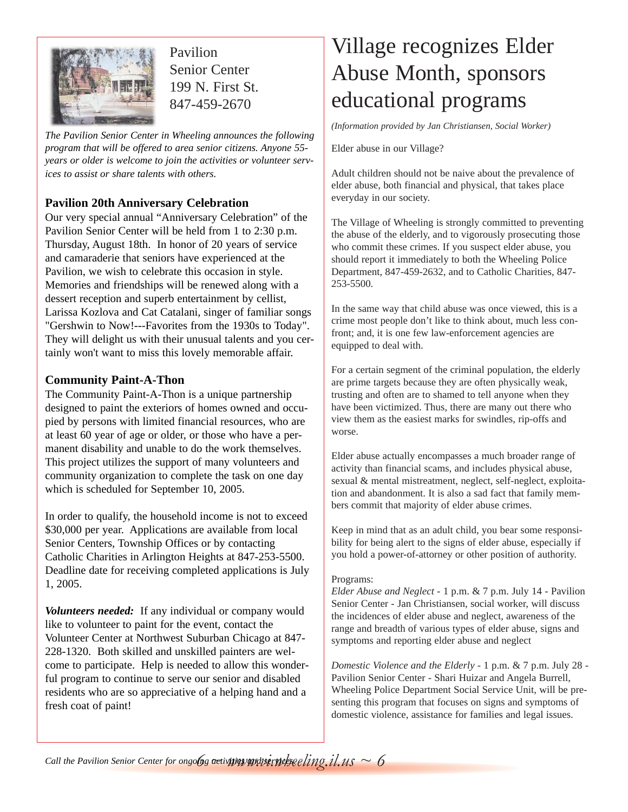

Pavilion Senior Center 199 N. First St. 847-459-2670

*The Pavilion Senior Center in Wheeling announces the following program that will be offered to area senior citizens. Anyone 55 years or older is welcome to join the activities or volunteer services to assist or share talents with others.*

### **Pavilion 20th Anniversary Celebration**

Our very special annual "Anniversary Celebration" of the Pavilion Senior Center will be held from 1 to 2:30 p.m. Thursday, August 18th. In honor of 20 years of service and camaraderie that seniors have experienced at the Pavilion, we wish to celebrate this occasion in style. Memories and friendships will be renewed along with a dessert reception and superb entertainment by cellist, Larissa Kozlova and Cat Catalani, singer of familiar songs "Gershwin to Now!---Favorites from the 1930s to Today". They will delight us with their unusual talents and you certainly won't want to miss this lovely memorable affair.

### **Community Paint-A-Thon**

The Community Paint-A-Thon is a unique partnership designed to paint the exteriors of homes owned and occupied by persons with limited financial resources, who are at least 60 year of age or older, or those who have a permanent disability and unable to do the work themselves. This project utilizes the support of many volunteers and community organization to complete the task on one day which is scheduled for September 10, 2005.

In order to qualify, the household income is not to exceed \$30,000 per year. Applications are available from local Senior Centers, Township Offices or by contacting Catholic Charities in Arlington Heights at 847-253-5500. Deadline date for receiving completed applications is July 1, 2005.

*Volunteers needed:* If any individual or company would like to volunteer to paint for the event, contact the Volunteer Center at Northwest Suburban Chicago at 847- 228-1320. Both skilled and unskilled painters are welcome to participate. Help is needed to allow this wonderful program to continue to serve our senior and disabled residents who are so appreciative of a helping hand and a fresh coat of paint!

### Village recognizes Elder Abuse Month, sponsors educational programs

*(Information provided by Jan Christiansen, Social Worker)*

Elder abuse in our Village?

Adult children should not be naive about the prevalence of elder abuse, both financial and physical, that takes place everyday in our society.

The Village of Wheeling is strongly committed to preventing the abuse of the elderly, and to vigorously prosecuting those who commit these crimes. If you suspect elder abuse, you should report it immediately to both the Wheeling Police Department, 847-459-2632, and to Catholic Charities, 847- 253-5500.

In the same way that child abuse was once viewed, this is a crime most people don't like to think about, much less confront; and, it is one few law-enforcement agencies are equipped to deal with.

For a certain segment of the criminal population, the elderly are prime targets because they are often physically weak, trusting and often are to shamed to tell anyone when they have been victimized. Thus, there are many out there who view them as the easiest marks for swindles, rip-offs and worse.

Elder abuse actually encompasses a much broader range of activity than financial scams, and includes physical abuse, sexual & mental mistreatment, neglect, self-neglect, exploitation and abandonment. It is also a sad fact that family members commit that majority of elder abuse crimes.

Keep in mind that as an adult child, you bear some responsibility for being alert to the signs of elder abuse, especially if you hold a power-of-attorney or other position of authority.

### Programs:

*Elder Abuse and Neglect* - 1 p.m. & 7 p.m. July 14 - Pavilion Senior Center - Jan Christiansen, social worker, will discuss the incidences of elder abuse and neglect, awareness of the range and breadth of various types of elder abuse, signs and symptoms and reporting elder abuse and neglect

*Domestic Violence and the Elderly* - 1 p.m. & 7 p.m. July 28 - Pavilion Senior Center - Shari Huizar and Angela Burrell, Wheeling Police Department Social Service Unit, will be presenting this program that focuses on signs and symptoms of domestic violence, assistance for families and legal issues.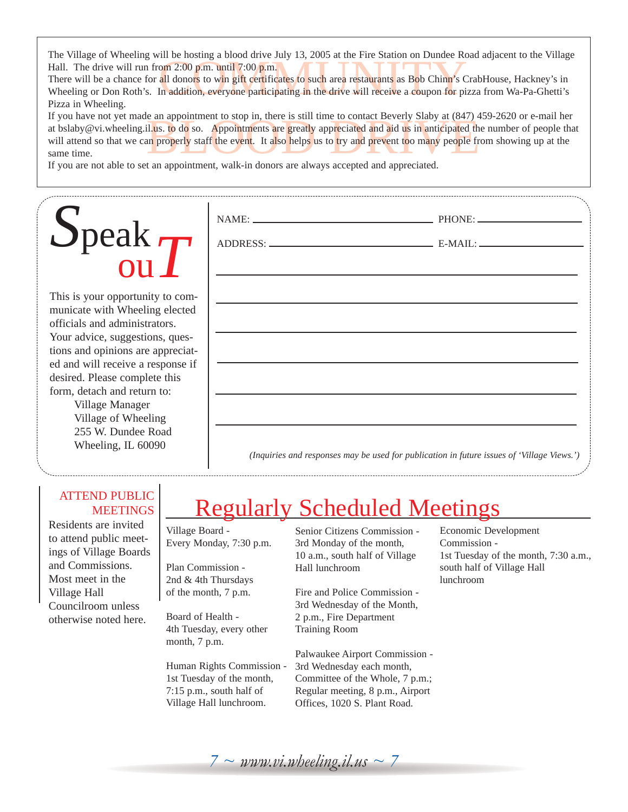The Village of Wheeling will be hosting a blood drive July 13, 2005 at the Fire Station on Dundee Road adjacent to the Village Hall. The drive will run from 2:00 p.m. until 7:00 p.m.

om 2:00 p.m. until 7:00 p.m.<br>all donors to win gift certificates to such area restaurants as Bob Chinn's C<br>fin addition, everyone participating in the drive will receive a coupon for pi There will be a chance for all donors to win gift certificates to such area restaurants as Bob Chinn's CrabHouse, Hackney's in Wheeling or Don Roth's. In addition, everyone participating in the drive will receive a coupon for pizza from Wa-Pa-Ghetti's Pizza in Wheeling.

e an appointment to stop in, there is still time to contact Beverly Slaby at (847) 2<br>il.us. to do so. Appointments are greatly appreciated and aid us in anticipated the<br>numeroperly staff the event. It also helps us to try If you have not yet made an appointment to stop in, there is still time to contact Beverly Slaby at (847) 459-2620 or e-mail her at bslaby@vi.wheeling.il.us. to do so. Appointments are greatly appreciated and aid us in anticipated the number of people that will attend so that we can properly staff the event. It also helps us to try and prevent too many people from showing up at the same time.

NAME: PHONE:

ADDRESS: E-MAIL:

If you are not able to set an appointment, walk-in donors are always accepted and appreciated.

# *S*peak ou*T*

This is your opportunity to communicate with Wheeling elected officials and administrators. Your advice, suggestions, questions and opinions are appreciated and will receive a response if desired. Please complete this form, detach and return to:

Village Manager Village of Wheeling 255 W. Dundee Road Wheeling, IL 60090

*(Inquiries and responses may be used for publication in future issues of 'Village Views.')*

### ATTEND PUBLIC **MEETINGS**

Residents are invited to attend public meetings of Village Boards and Commissions. Most meet in the Village Hall Councilroom unless otherwise noted here.

### Regularly Scheduled Meetings

Village Board - Every Monday, 7:30 p.m.

Plan Commission - 2nd & 4th Thursdays of the month, 7 p.m.

Board of Health - 4th Tuesday, every other month, 7 p.m.

Human Rights Commission - 1st Tuesday of the month, 7:15 p.m., south half of Village Hall lunchroom.

Senior Citizens Commission - 3rd Monday of the month, 10 a.m., south half of Village Hall lunchroom

Fire and Police Commission - 3rd Wednesday of the Month, 2 p.m., Fire Department Training Room

Palwaukee Airport Commission - 3rd Wednesday each month, Committee of the Whole, 7 p.m.; Regular meeting, 8 p.m., Airport Offices, 1020 S. Plant Road.

Economic Development Commission - 1st Tuesday of the month, 7:30 a.m., south half of Village Hall lunchroom

 $7 \sim$  *www.vi.wheeling.il.us*  $\sim$  7